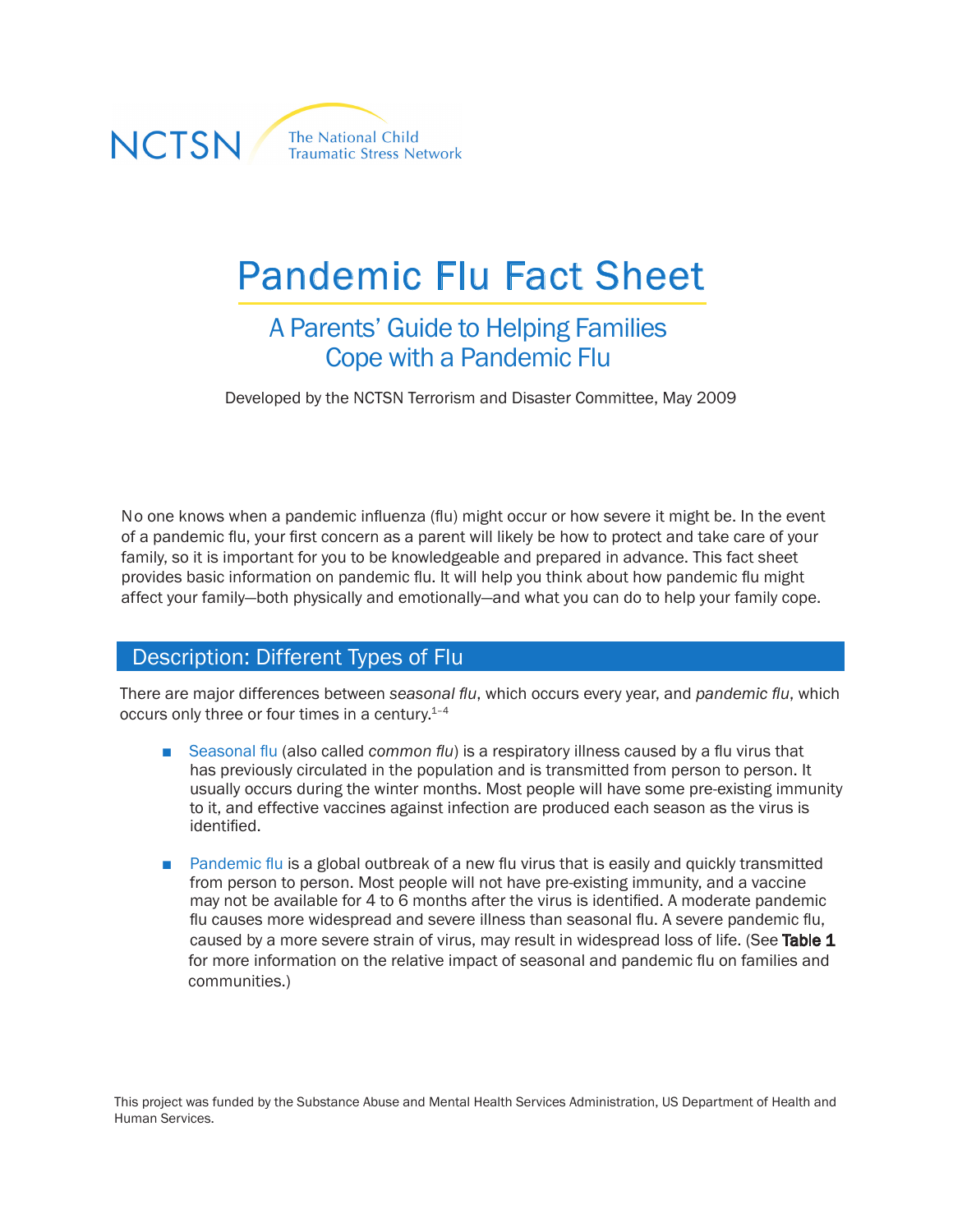

# Pandemic Flu Fact Sheet

## A Parents' Guide to Helping Families Cope with a Pandemic Flu

Developed by the NCTSN Terrorism and Disaster Committee, May 2009

No one knows when a pandemic influenza (flu) might occur or how severe it might be. In the event of a pandemic flu, your first concern as a parent will likely be how to protect and take care of your family, so it is important for you to be knowledgeable and prepared in advance. This fact sheet provides basic information on pandemic flu. It will help you think about how pandemic flu might affect your family—both physically and emotionally—and what you can do to help your family cope.

#### Description: Different Types of Flu

There are major differences between *seasonal flu*, which occurs every year, and *pandemic flu*, which occurs only three or four times in a century.<sup>1-4</sup>

- Seasonal flu (also called *common flu*) is a respiratory illness caused by a flu virus that has previously circulated in the population and is transmitted from person to person. It usually occurs during the winter months. Most people will have some pre-existing immunity to it, and effective vaccines against infection are produced each season as the virus is identified.
- Pandemic flu is a global outbreak of a new flu virus that is easily and quickly transmitted from person to person. Most people will not have pre-existing immunity, and a vaccine may not be available for 4 to 6 months after the virus is identified. A moderate pandemic flu causes more widespread and severe illness than seasonal flu. A severe pandemic flu, caused by a more severe strain of virus, may result in widespread loss of life. (See Table 1 for more information on the relative impact of seasonal and pandemic flu on families and communities.)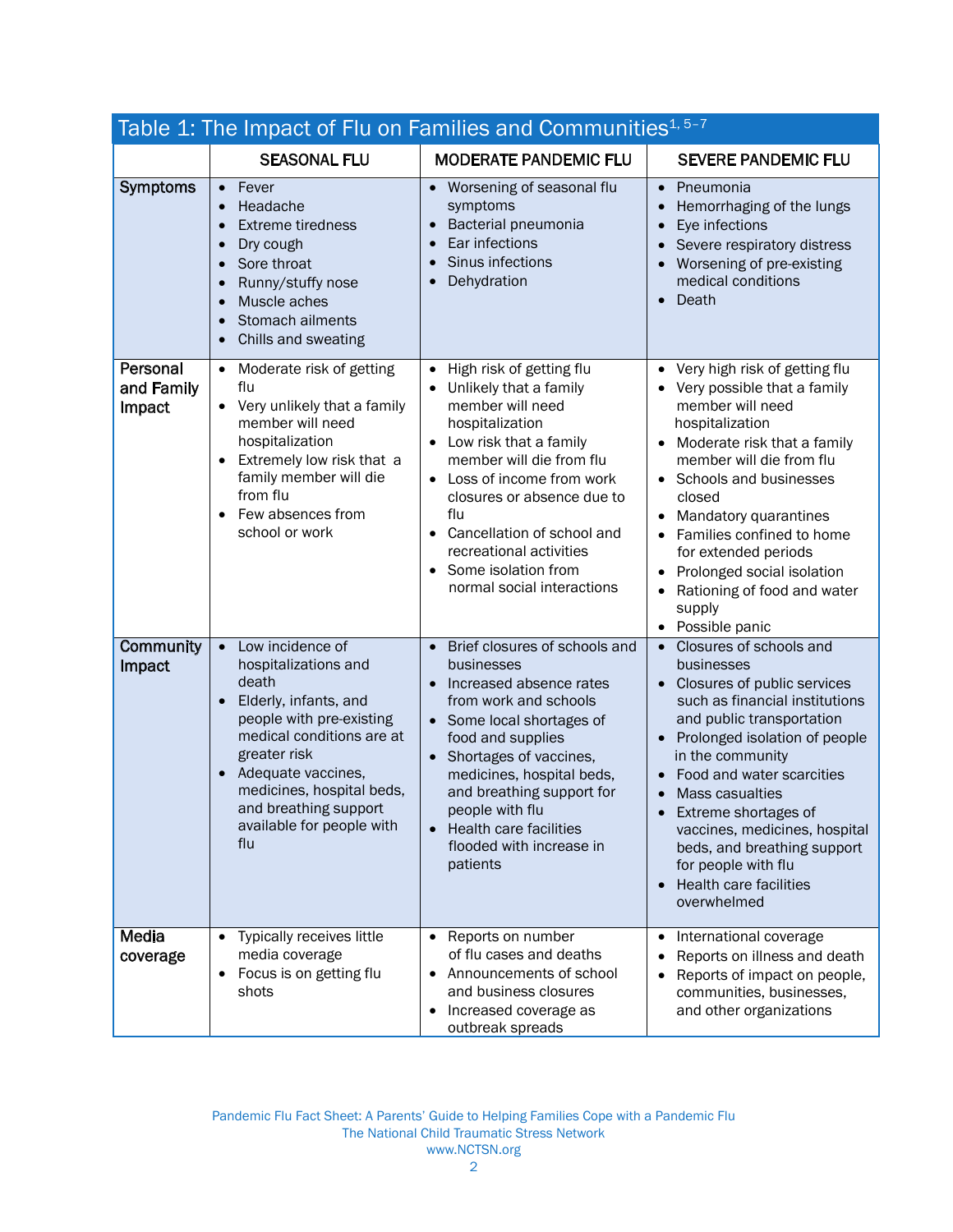| Table 1: The Impact of Flu on Families and Communities <sup>1, 5-7</sup> |                                                                                                                                                                                                                                                                                                            |                                                                                                                                                                                                                                                                                                                                                          |                                                                                                                                                                                                                                                                                                                                                                                                         |
|--------------------------------------------------------------------------|------------------------------------------------------------------------------------------------------------------------------------------------------------------------------------------------------------------------------------------------------------------------------------------------------------|----------------------------------------------------------------------------------------------------------------------------------------------------------------------------------------------------------------------------------------------------------------------------------------------------------------------------------------------------------|---------------------------------------------------------------------------------------------------------------------------------------------------------------------------------------------------------------------------------------------------------------------------------------------------------------------------------------------------------------------------------------------------------|
|                                                                          | <b>SEASONAL FLU</b>                                                                                                                                                                                                                                                                                        | <b>MODERATE PANDEMIC FLU</b>                                                                                                                                                                                                                                                                                                                             | <b>SEVERE PANDEMIC FLU</b>                                                                                                                                                                                                                                                                                                                                                                              |
| Symptoms                                                                 | Fever<br>$\bullet$<br>Headache<br>$\bullet$<br><b>Extreme tiredness</b><br>$\bullet$<br>Dry cough<br>$\bullet$<br>Sore throat<br>$\bullet$<br>Runny/stuffy nose<br>$\bullet$<br>Muscle aches<br>$\bullet$<br>Stomach ailments<br>$\bullet$<br>Chills and sweating<br>$\bullet$                             | • Worsening of seasonal flu<br>symptoms<br>Bacterial pneumonia<br>Ear infections<br>Sinus infections<br>$\bullet$<br>Dehydration                                                                                                                                                                                                                         | Pneumonia<br>$\bullet$<br>Hemorrhaging of the lungs<br>$\bullet$<br>Eye infections<br>Severe respiratory distress<br>Worsening of pre-existing<br>medical conditions<br>Death                                                                                                                                                                                                                           |
| Personal<br>and Family<br>Impact                                         | Moderate risk of getting<br>$\bullet$<br>flu<br>Very unlikely that a family<br>$\bullet$<br>member will need<br>hospitalization<br>Extremely low risk that a<br>family member will die<br>from flu<br>Few absences from<br>$\bullet$<br>school or work                                                     | High risk of getting flu<br>$\bullet$<br>Unlikely that a family<br>member will need<br>hospitalization<br>Low risk that a family<br>$\bullet$<br>member will die from flu<br>Loss of income from work<br>closures or absence due to<br>flu<br>Cancellation of school and<br>recreational activities<br>Some isolation from<br>normal social interactions | Very high risk of getting flu<br>$\bullet$<br>Very possible that a family<br>member will need<br>hospitalization<br>Moderate risk that a family<br>member will die from flu<br>Schools and businesses<br>closed<br>Mandatory quarantines<br>Families confined to home<br>for extended periods<br>Prolonged social isolation<br>Rationing of food and water<br>supply<br>Possible panic<br>$\bullet$     |
| Community<br>Impact                                                      | Low incidence of<br>$\bullet$<br>hospitalizations and<br>death<br>Elderly, infants, and<br>$\bullet$<br>people with pre-existing<br>medical conditions are at<br>greater risk<br>Adequate vaccines,<br>$\bullet$<br>medicines, hospital beds,<br>and breathing support<br>available for people with<br>flu | Brief closures of schools and<br>$\bullet$<br>businesses<br>Increased absence rates<br>from work and schools<br>• Some local shortages of<br>food and supplies<br>Shortages of vaccines,<br>$\bullet$<br>medicines, hospital beds,<br>and breathing support for<br>people with flu<br>Health care facilities<br>flooded with increase in<br>patients     | Closures of schools and<br>businesses<br>Closures of public services<br>such as financial institutions<br>and public transportation<br>Prolonged isolation of people<br>in the community<br>Food and water scarcities<br>Mass casualties<br>Extreme shortages of<br>vaccines, medicines, hospital<br>beds, and breathing support<br>for people with flu<br><b>Health care facilities</b><br>overwhelmed |
| Media<br>coverage                                                        | Typically receives little<br>$\bullet$<br>media coverage<br>Focus is on getting flu<br>$\bullet$<br>shots                                                                                                                                                                                                  | • Reports on number<br>of flu cases and deaths<br>Announcements of school<br>and business closures<br>Increased coverage as<br>٠<br>outbreak spreads                                                                                                                                                                                                     | International coverage<br>$\bullet$<br>Reports on illness and death<br>Reports of impact on people,<br>communities, businesses,<br>and other organizations                                                                                                                                                                                                                                              |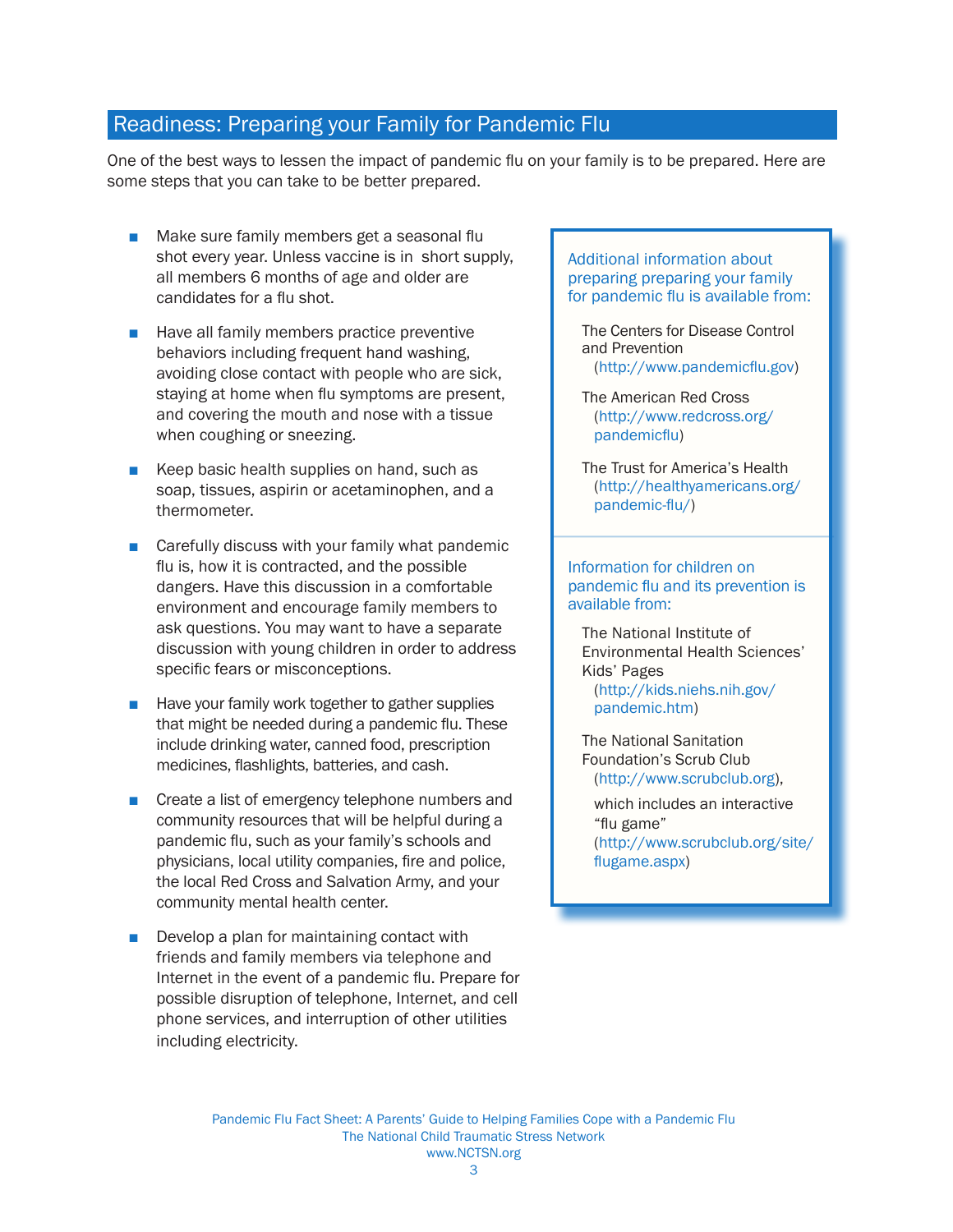#### Readiness: Preparing your Family for Pandemic Flu

One of the best ways to lessen the impact of pandemic flu on your family is to be prepared. Here are some steps that you can take to be better prepared.

- Make sure family members get a seasonal flu shot every year. Unless vaccine is in short supply, all members 6 months of age and older are candidates for a flu shot.
- Have all family members practice preventive behaviors including frequent hand washing, avoiding close contact with people who are sick, staying at home when flu symptoms are present, and covering the mouth and nose with a tissue when coughing or sneezing.
- Keep basic health supplies on hand, such as soap, tissues, aspirin or acetaminophen, and a thermometer.
- Carefully discuss with your family what pandemic flu is, how it is contracted, and the possible dangers. Have this discussion in a comfortable environment and encourage family members to ask questions. You may want to have a separate discussion with young children in order to address specific fears or misconceptions.
- Have your family work together to gather supplies that might be needed during a pandemic flu. These include drinking water, canned food, prescription medicines, flashlights, batteries, and cash.
- Create a list of emergency telephone numbers and community resources that will be helpful during a pandemic flu, such as your family's schools and physicians, local utility companies, fire and police, the local Red Cross and Salvation Army, and your community mental health center.
- Develop a plan for maintaining contact with friends and family members via telephone and Internet in the event of a pandemic flu. Prepare for possible disruption of telephone, Internet, and cell phone services, and interruption of other utilities including electricity.

#### Additional information about preparing preparing your family for pandemic flu is available from:

- The Centers for Disease Control and Prevention ([http://www.pandemicflu.go](http://www.pandemicflu.gov)v)
- The American Red Cross ([http://www.redcross.org/](http://www.redcross.org/pandemicflu)  [pandemicfl](http://www.redcross.org/pandemicflu)u)
- The Trust for America's Health ([http://healthyamericans.org/](http://healthyamericans.org/pandemic-flu/) [pandemic-flu](http://healthyamericans.org/pandemic-flu/)/)

#### Information for children on pandemic flu and its prevention is available from:

i

The National Institute of Environmental Health Sciences' Kids' Pages ([http://kids.niehs.nih.gov/](http://kids.niehs.nih.gov/pandemic.htm)  [pandemic.htm\)](http://kids.niehs.nih.gov/pandemic.htm)

The National Sanitation Foundation's Scrub Club ([http://www.scrubclub.org\)](http://www.scrubclub.org),

 which includes an interactive "flu game" ([http://www.scrubclub.org/site/](http://www.scrubclub.org/site/flugame.aspx) [flugame.asp](http://www.scrubclub.org/site/flugame.aspx)x)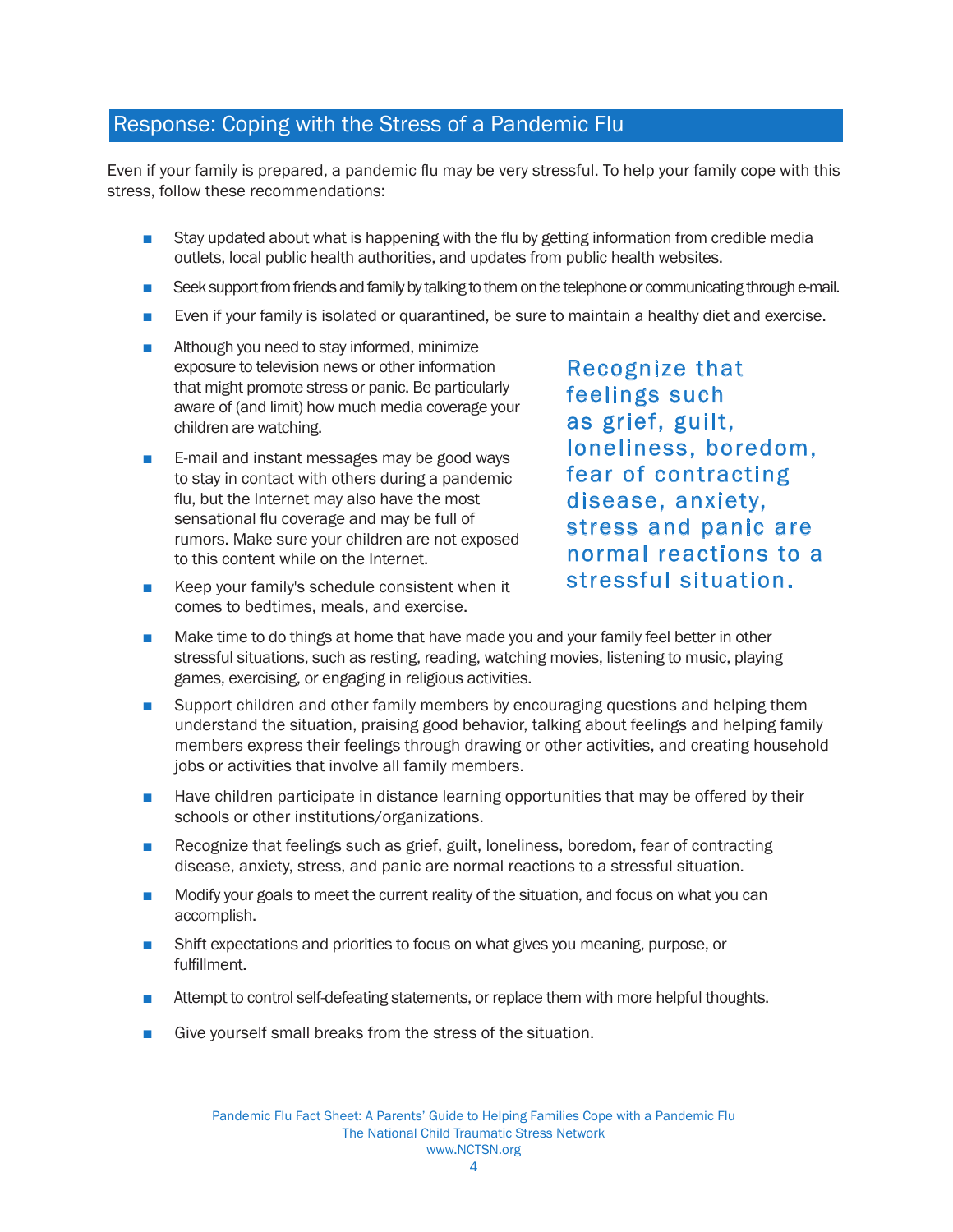### Response: Coping with the Stress of a Pandemic Flu

Even if your family is prepared, a pandemic flu may be very stressful. To help your family cope with this stress, follow these recommendations:

- Stay updated about what is happening with the flu by getting information from credible media outlets, local public health authorities, and updates from public health websites.
- Seek support from friends and family by talking to them on the telephone or communicating through e-mail.
- Even if your family is isolated or quarantined, be sure to maintain a healthy diet and exercise.
- Although you need to stay informed, minimize exposure to television news or other information that might promote stress or panic. Be particularly aware of (and limit) how much media coverage your children are watching.
- E-mail and instant messages may be good ways to stay in contact with others during a pandemic flu, but the Internet may also have the most sensational flu coverage and may be full of rumors. Make sure your children are not exposed to this content while on the Internet.
- Keep your family's schedule consistent when it comes to bedtimes, meals, and exercise.

Recognize that feelings such as grief, guilt, loneliness, boredom, fear of contracting disease, anxiety, stress and panic are normal reactions to a stressful situation.

- Make time to do things at home that have made you and your family feel better in other stressful situations, such as resting, reading, watching movies, listening to music, playing games, exercising, or engaging in religious activities.
- Support children and other family members by encouraging questions and helping them understand the situation, praising good behavior, talking about feelings and helping family members express their feelings through drawing or other activities, and creating household jobs or activities that involve all family members.
- Have children participate in distance learning opportunities that may be offered by their schools or other institutions/organizations.
- Recognize that feelings such as grief, guilt, loneliness, boredom, fear of contracting disease, anxiety, stress, and panic are normal reactions to a stressful situation.
- Modify your goals to meet the current reality of the situation, and focus on what you can accomplish.
- Shift expectations and priorities to focus on what gives you meaning, purpose, or fulfillment.
- Attempt to control self-defeating statements, or replace them with more helpful thoughts.
- Give yourself small breaks from the stress of the situation.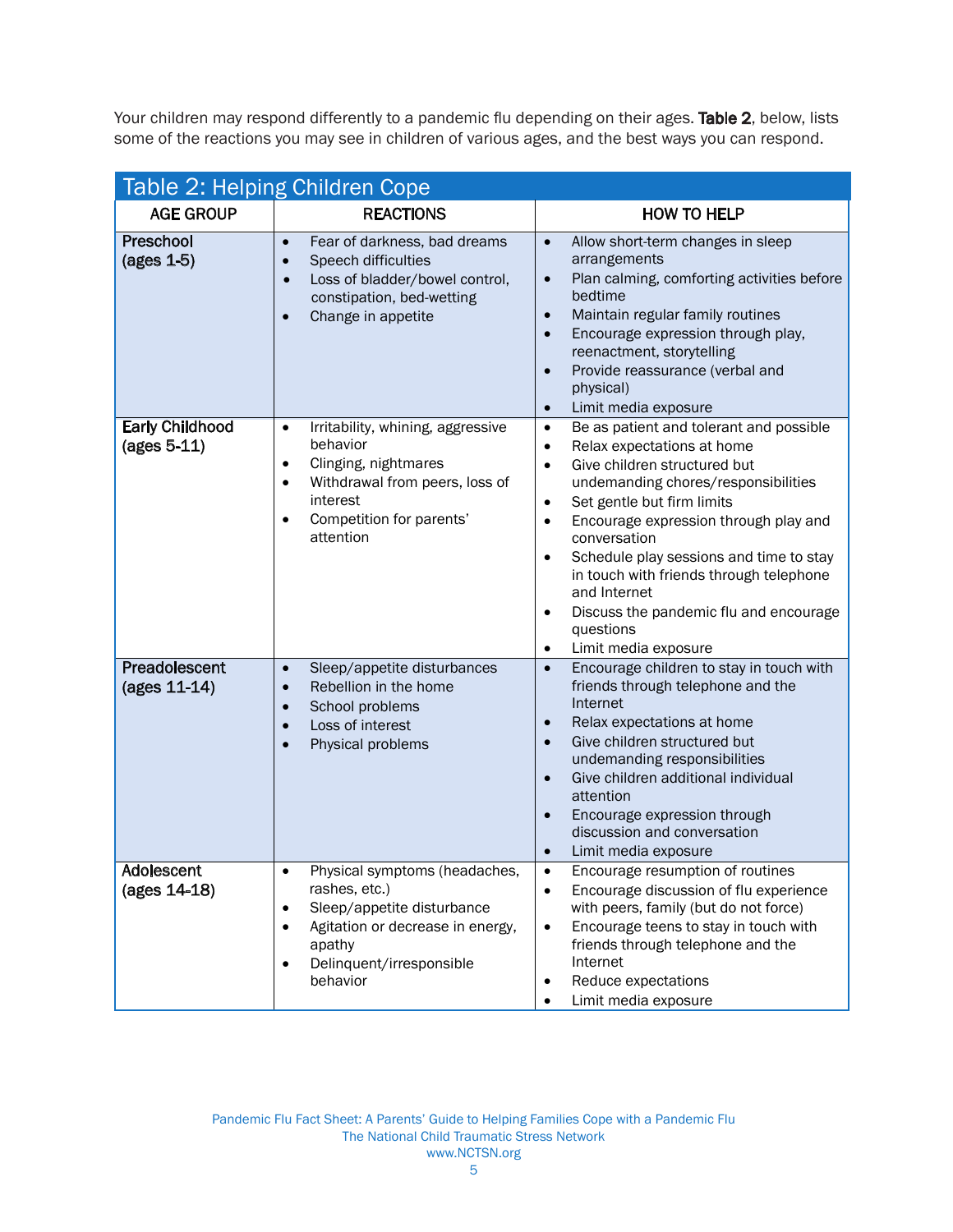Your children may respond differently to a pandemic flu depending on their ages. Table 2, below, lists some of the reactions you may see in children of various ages, and the best ways you can respond. some of the reactions you may see in children of various ages, and the best ways you can respond.

| Table 2: Helping Children Cope        |                                                                                                                                                                                                                  |                                                                                                                                                                                                                                                                                                                                                                                                                                                                                                                                  |  |
|---------------------------------------|------------------------------------------------------------------------------------------------------------------------------------------------------------------------------------------------------------------|----------------------------------------------------------------------------------------------------------------------------------------------------------------------------------------------------------------------------------------------------------------------------------------------------------------------------------------------------------------------------------------------------------------------------------------------------------------------------------------------------------------------------------|--|
| <b>AGE GROUP</b>                      | <b>REACTIONS</b>                                                                                                                                                                                                 | <b>HOW TO HELP</b>                                                                                                                                                                                                                                                                                                                                                                                                                                                                                                               |  |
| Preschool<br>$(ages 1-5)$             | Fear of darkness, bad dreams<br>$\bullet$<br>Speech difficulties<br>$\bullet$<br>Loss of bladder/bowel control,<br>$\bullet$<br>constipation, bed-wetting<br>Change in appetite<br>$\bullet$                     | Allow short-term changes in sleep<br>$\bullet$<br>arrangements<br>Plan calming, comforting activities before<br>$\bullet$<br>bedtime<br>Maintain regular family routines<br>$\bullet$<br>Encourage expression through play,<br>$\bullet$<br>reenactment, storytelling<br>Provide reassurance (verbal and<br>$\bullet$<br>physical)<br>Limit media exposure<br>$\bullet$                                                                                                                                                          |  |
| <b>Early Childhood</b><br>(ages 5-11) | Irritability, whining, aggressive<br>$\bullet$<br>behavior<br>Clinging, nightmares<br>$\bullet$<br>Withdrawal from peers, loss of<br>$\bullet$<br>interest<br>Competition for parents'<br>$\bullet$<br>attention | Be as patient and tolerant and possible<br>$\bullet$<br>Relax expectations at home<br>$\bullet$<br>Give children structured but<br>$\bullet$<br>undemanding chores/responsibilities<br>Set gentle but firm limits<br>$\bullet$<br>Encourage expression through play and<br>$\bullet$<br>conversation<br>Schedule play sessions and time to stay<br>$\bullet$<br>in touch with friends through telephone<br>and Internet<br>Discuss the pandemic flu and encourage<br>$\bullet$<br>questions<br>Limit media exposure<br>$\bullet$ |  |
| Preadolescent<br>(ages 11-14)         | Sleep/appetite disturbances<br>$\bullet$<br>Rebellion in the home<br>$\bullet$<br>School problems<br>$\bullet$<br>Loss of interest<br>$\bullet$<br>Physical problems                                             | Encourage children to stay in touch with<br>$\bullet$<br>friends through telephone and the<br>Internet<br>Relax expectations at home<br>$\bullet$<br>Give children structured but<br>$\bullet$<br>undemanding responsibilities<br>Give children additional individual<br>$\bullet$<br>attention<br>Encourage expression through<br>$\bullet$<br>discussion and conversation<br>Limit media exposure<br>$\bullet$                                                                                                                 |  |
| Adolescent<br>(ages 14-18)            | Physical symptoms (headaches,<br>rashes, etc.)<br>Sleep/appetite disturbance<br>٠<br>Agitation or decrease in energy,<br>$\bullet$<br>apathy<br>Delinquent/irresponsible<br>$\bullet$<br>behavior                | Encourage resumption of routines<br>$\bullet$<br>Encourage discussion of flu experience<br>$\bullet$<br>with peers, family (but do not force)<br>Encourage teens to stay in touch with<br>$\bullet$<br>friends through telephone and the<br>Internet<br>Reduce expectations<br>Limit media exposure                                                                                                                                                                                                                              |  |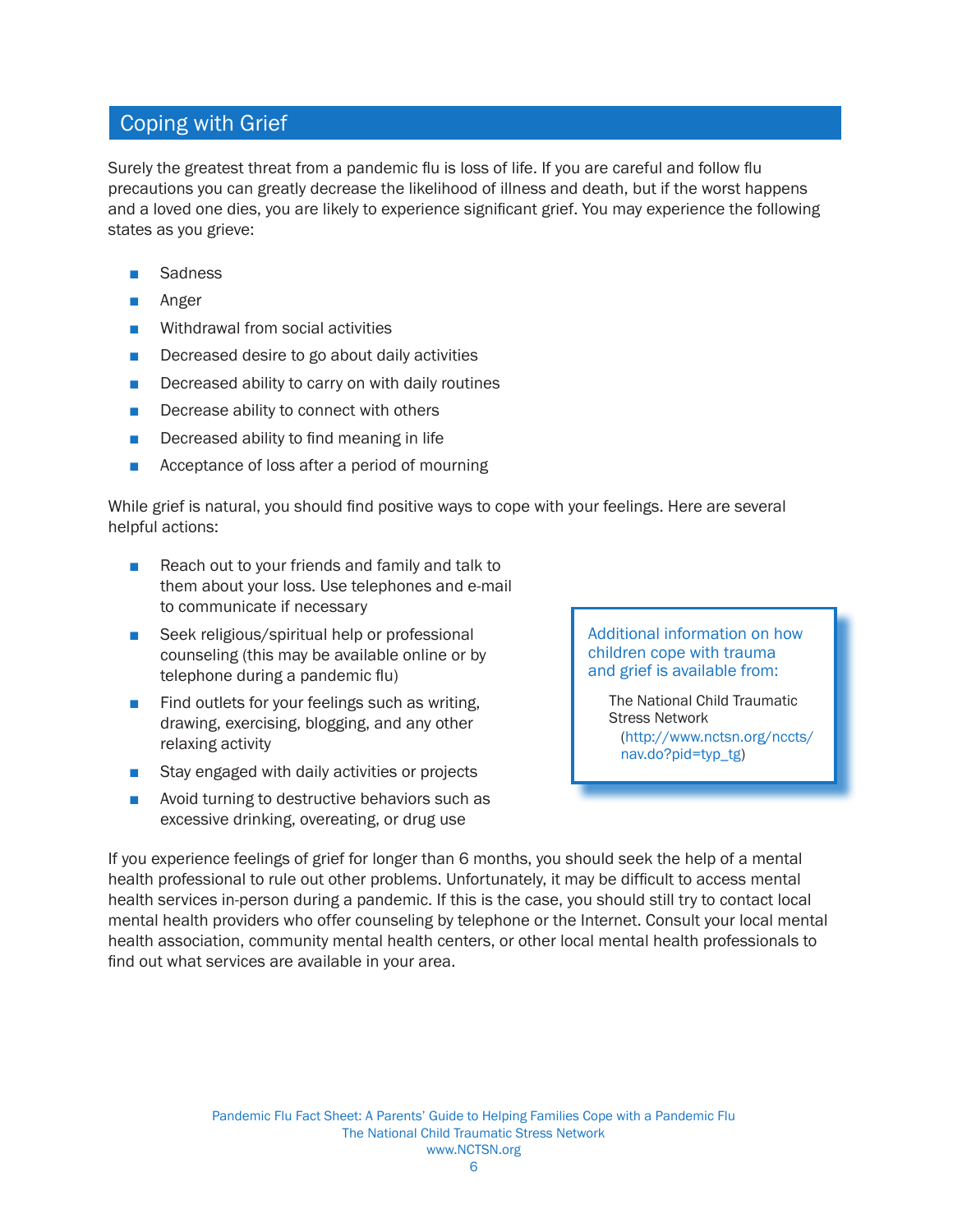## Coping with Grief

Surely the greatest threat from a pandemic flu is loss of life. If you are careful and follow flu precautions you can greatly decrease the likelihood of illness and death, but if the worst happens and a loved one dies, you are likely to experience significant grief. You may experience the following states as you grieve:

- **Sadness**
- Anger
- Withdrawal from social activities
- Decreased desire to go about daily activities
- Decreased ability to carry on with daily routines
- Decrease ability to connect with others
- Decreased ability to find meaning in life
- Acceptance of loss after a period of mourning

While grief is natural, you should find positive ways to cope with your feelings. Here are several helpful actions:

- Reach out to your friends and family and talk to them about your loss. Use telephones and e-mail to communicate if necessary
- Seek religious/spiritual help or professional counseling (this may be available online or by telephone during a pandemic flu)
- Find outlets for your feelings such as writing, drawing, exercising, blogging, and any other relaxing activity
- Stay engaged with daily activities or projects
- Avoid turning to destructive behaviors such as excessive drinking, overeating, or drug use

Additional information on how children cope with trauma and grief is available from:

The National Child Traumatic Stress Network ([http://www.nctsn.org/nccts/](http://www.nctsn.org/nccts/nav.do?pid=typ_tg) [nav.do?pid=typ\\_tg](http://www.nctsn.org/nccts/nav.do?pid=typ_tg))

If you experience feelings of grief for longer than 6 months, you should seek the help of a mental health professional to rule out other problems. Unfortunately, it may be difficult to access mental health services in-person during a pandemic. If this is the case, you should still try to contact local mental health providers who offer counseling by telephone or the Internet. Consult your local mental health association, community mental health centers, or other local mental health professionals to find out what services are available in your area.